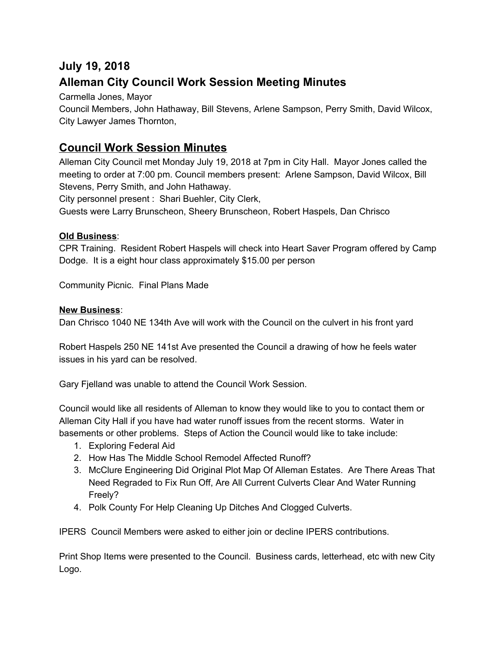# **July 19, 2018 Alleman City Council Work Session Meeting Minutes**

Carmella Jones, Mayor

Council Members, John Hathaway, Bill Stevens, Arlene Sampson, Perry Smith, David Wilcox, City Lawyer James Thornton,

## **Council Work Session Minutes**

Alleman City Council met Monday July 19, 2018 at 7pm in City Hall. Mayor Jones called the meeting to order at 7:00 pm. Council members present: Arlene Sampson, David Wilcox, Bill Stevens, Perry Smith, and John Hathaway.

City personnel present : Shari Buehler, City Clerk,

Guests were Larry Brunscheon, Sheery Brunscheon, Robert Haspels, Dan Chrisco

#### **Old Business**:

CPR Training. Resident Robert Haspels will check into Heart Saver Program offered by Camp Dodge. It is a eight hour class approximately \$15.00 per person

Community Picnic. Final Plans Made

#### **New Business**:

Dan Chrisco 1040 NE 134th Ave will work with the Council on the culvert in his front yard

Robert Haspels 250 NE 141st Ave presented the Council a drawing of how he feels water issues in his yard can be resolved.

Gary Fjelland was unable to attend the Council Work Session.

Council would like all residents of Alleman to know they would like to you to contact them or Alleman City Hall if you have had water runoff issues from the recent storms. Water in basements or other problems. Steps of Action the Council would like to take include:

- 1. Exploring Federal Aid
- 2. How Has The Middle School Remodel Affected Runoff?
- 3. McClure Engineering Did Original Plot Map Of Alleman Estates. Are There Areas That Need Regraded to Fix Run Off, Are All Current Culverts Clear And Water Running Freely?
- 4. Polk County For Help Cleaning Up Ditches And Clogged Culverts.

IPERS Council Members were asked to either join or decline IPERS contributions.

Print Shop Items were presented to the Council. Business cards, letterhead, etc with new City Logo.